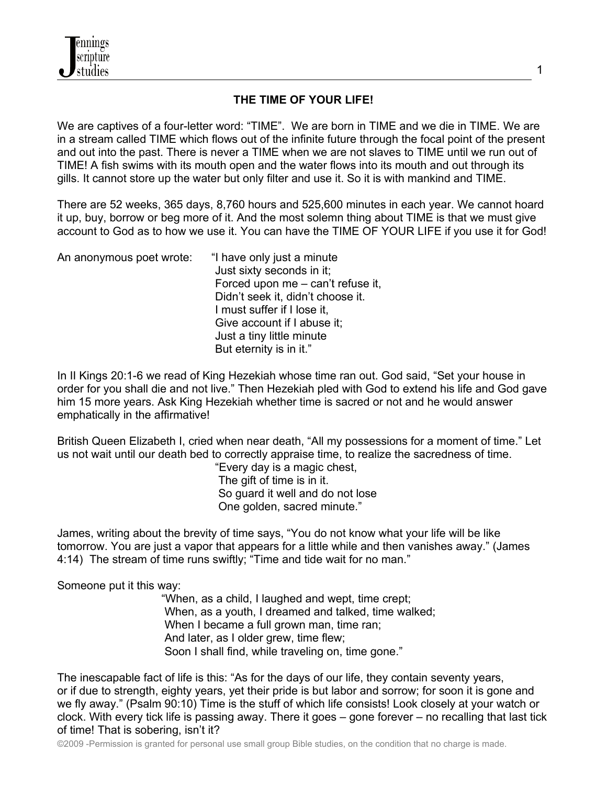

## **THE TIME OF YOUR LIFE!**

We are captives of a four-letter word: "TIME". We are born in TIME and we die in TIME. We are in a stream called TIME which flows out of the infinite future through the focal point of the present and out into the past. There is never a TIME when we are not slaves to TIME until we run out of TIME! A fish swims with its mouth open and the water flows into its mouth and out through its gills. It cannot store up the water but only filter and use it. So it is with mankind and TIME.

There are 52 weeks, 365 days, 8,760 hours and 525,600 minutes in each year. We cannot hoard it up, buy, borrow or beg more of it. And the most solemn thing about TIME is that we must give account to God as to how we use it. You can have the TIME OF YOUR LIFE if you use it for God!

| An anonymous poet wrote: | "I have only just a minute        |
|--------------------------|-----------------------------------|
|                          | Just sixty seconds in it;         |
|                          | Forced upon me - can't refuse it, |
|                          | Didn't seek it, didn't choose it. |
|                          | I must suffer if I lose it,       |
|                          | Give account if I abuse it;       |
|                          | Just a tiny little minute         |
|                          | But eternity is in it."           |

In II Kings 20:1-6 we read of King Hezekiah whose time ran out. God said, "Set your house in order for you shall die and not live." Then Hezekiah pled with God to extend his life and God gave him 15 more years. Ask King Hezekiah whether time is sacred or not and he would answer emphatically in the affirmative!

British Queen Elizabeth I, cried when near death, "All my possessions for a moment of time." Let us not wait until our death bed to correctly appraise time, to realize the sacredness of time.

 "Every day is a magic chest, The gift of time is in it. So guard it well and do not lose One golden, sacred minute."

James, writing about the brevity of time says, "You do not know what your life will be like tomorrow. You are just a vapor that appears for a little while and then vanishes away." (James 4:14) The stream of time runs swiftly; "Time and tide wait for no man."

Someone put it this way:

 "When, as a child, I laughed and wept, time crept; When, as a youth, I dreamed and talked, time walked; When I became a full grown man, time ran; And later, as I older grew, time flew; Soon I shall find, while traveling on, time gone."

The inescapable fact of life is this: "As for the days of our life, they contain seventy years, or if due to strength, eighty years, yet their pride is but labor and sorrow; for soon it is gone and we fly away." (Psalm 90:10) Time is the stuff of which life consists! Look closely at your watch or clock. With every tick life is passing away. There it goes – gone forever – no recalling that last tick of time! That is sobering, isn't it?

©2009 -Permission is granted for personal use small group Bible studies, on the condition that no charge is made.

1